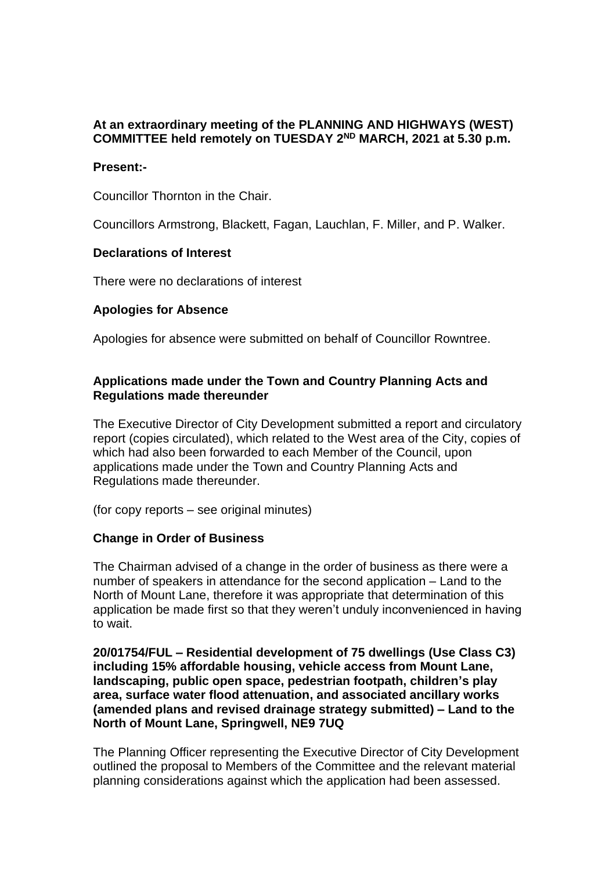## **At an extraordinary meeting of the PLANNING AND HIGHWAYS (WEST) COMMITTEE held remotely on TUESDAY 2<sup>ND</sup> MARCH, 2021 at 5.30 p.m.**

### **Present:-**

Councillor Thornton in the Chair.

Councillors Armstrong, Blackett, Fagan, Lauchlan, F. Miller, and P. Walker.

### **Declarations of Interest**

There were no declarations of interest

### **Apologies for Absence**

Apologies for absence were submitted on behalf of Councillor Rowntree.

## **Applications made under the Town and Country Planning Acts and Regulations made thereunder**

The Executive Director of City Development submitted a report and circulatory report (copies circulated), which related to the West area of the City, copies of which had also been forwarded to each Member of the Council, upon applications made under the Town and Country Planning Acts and Regulations made thereunder.

(for copy reports – see original minutes)

### **Change in Order of Business**

The Chairman advised of a change in the order of business as there were a number of speakers in attendance for the second application – Land to the North of Mount Lane, therefore it was appropriate that determination of this application be made first so that they weren't unduly inconvenienced in having to wait.

**20/01754/FUL – Residential development of 75 dwellings (Use Class C3) including 15% affordable housing, vehicle access from Mount Lane, landscaping, public open space, pedestrian footpath, children's play area, surface water flood attenuation, and associated ancillary works (amended plans and revised drainage strategy submitted) – Land to the North of Mount Lane, Springwell, NE9 7UQ**

The Planning Officer representing the Executive Director of City Development outlined the proposal to Members of the Committee and the relevant material planning considerations against which the application had been assessed.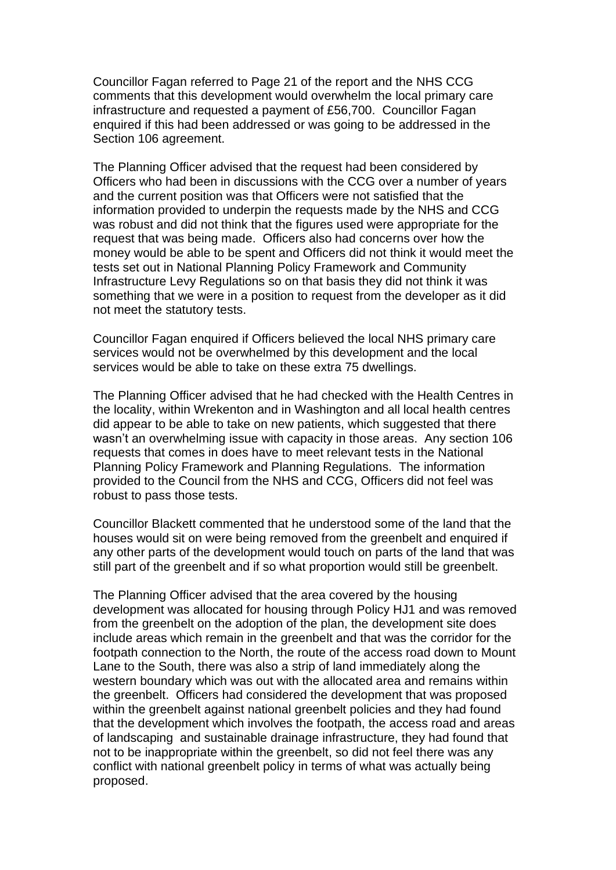Councillor Fagan referred to Page 21 of the report and the NHS CCG comments that this development would overwhelm the local primary care infrastructure and requested a payment of £56,700. Councillor Fagan enquired if this had been addressed or was going to be addressed in the Section 106 agreement.

The Planning Officer advised that the request had been considered by Officers who had been in discussions with the CCG over a number of years and the current position was that Officers were not satisfied that the information provided to underpin the requests made by the NHS and CCG was robust and did not think that the figures used were appropriate for the request that was being made. Officers also had concerns over how the money would be able to be spent and Officers did not think it would meet the tests set out in National Planning Policy Framework and Community Infrastructure Levy Regulations so on that basis they did not think it was something that we were in a position to request from the developer as it did not meet the statutory tests.

Councillor Fagan enquired if Officers believed the local NHS primary care services would not be overwhelmed by this development and the local services would be able to take on these extra 75 dwellings.

The Planning Officer advised that he had checked with the Health Centres in the locality, within Wrekenton and in Washington and all local health centres did appear to be able to take on new patients, which suggested that there wasn't an overwhelming issue with capacity in those areas. Any section 106 requests that comes in does have to meet relevant tests in the National Planning Policy Framework and Planning Regulations. The information provided to the Council from the NHS and CCG, Officers did not feel was robust to pass those tests.

Councillor Blackett commented that he understood some of the land that the houses would sit on were being removed from the greenbelt and enquired if any other parts of the development would touch on parts of the land that was still part of the greenbelt and if so what proportion would still be greenbelt.

The Planning Officer advised that the area covered by the housing development was allocated for housing through Policy HJ1 and was removed from the greenbelt on the adoption of the plan, the development site does include areas which remain in the greenbelt and that was the corridor for the footpath connection to the North, the route of the access road down to Mount Lane to the South, there was also a strip of land immediately along the western boundary which was out with the allocated area and remains within the greenbelt. Officers had considered the development that was proposed within the greenbelt against national greenbelt policies and they had found that the development which involves the footpath, the access road and areas of landscaping and sustainable drainage infrastructure, they had found that not to be inappropriate within the greenbelt, so did not feel there was any conflict with national greenbelt policy in terms of what was actually being proposed.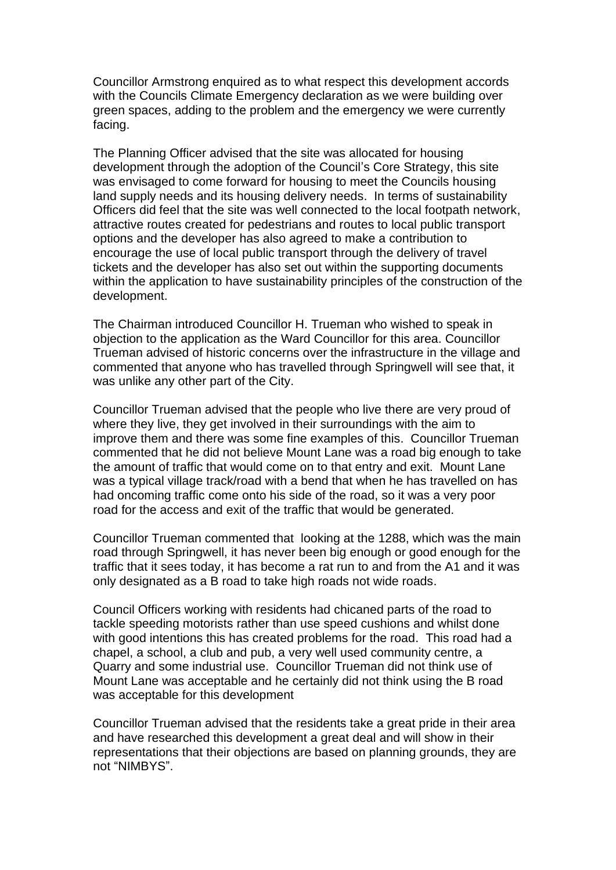Councillor Armstrong enquired as to what respect this development accords with the Councils Climate Emergency declaration as we were building over green spaces, adding to the problem and the emergency we were currently facing.

The Planning Officer advised that the site was allocated for housing development through the adoption of the Council's Core Strategy, this site was envisaged to come forward for housing to meet the Councils housing land supply needs and its housing delivery needs. In terms of sustainability Officers did feel that the site was well connected to the local footpath network, attractive routes created for pedestrians and routes to local public transport options and the developer has also agreed to make a contribution to encourage the use of local public transport through the delivery of travel tickets and the developer has also set out within the supporting documents within the application to have sustainability principles of the construction of the development.

The Chairman introduced Councillor H. Trueman who wished to speak in objection to the application as the Ward Councillor for this area. Councillor Trueman advised of historic concerns over the infrastructure in the village and commented that anyone who has travelled through Springwell will see that, it was unlike any other part of the City.

Councillor Trueman advised that the people who live there are very proud of where they live, they get involved in their surroundings with the aim to improve them and there was some fine examples of this. Councillor Trueman commented that he did not believe Mount Lane was a road big enough to take the amount of traffic that would come on to that entry and exit. Mount Lane was a typical village track/road with a bend that when he has travelled on has had oncoming traffic come onto his side of the road, so it was a very poor road for the access and exit of the traffic that would be generated.

Councillor Trueman commented that looking at the 1288, which was the main road through Springwell, it has never been big enough or good enough for the traffic that it sees today, it has become a rat run to and from the A1 and it was only designated as a B road to take high roads not wide roads.

Council Officers working with residents had chicaned parts of the road to tackle speeding motorists rather than use speed cushions and whilst done with good intentions this has created problems for the road. This road had a chapel, a school, a club and pub, a very well used community centre, a Quarry and some industrial use. Councillor Trueman did not think use of Mount Lane was acceptable and he certainly did not think using the B road was acceptable for this development

Councillor Trueman advised that the residents take a great pride in their area and have researched this development a great deal and will show in their representations that their objections are based on planning grounds, they are not "NIMBYS".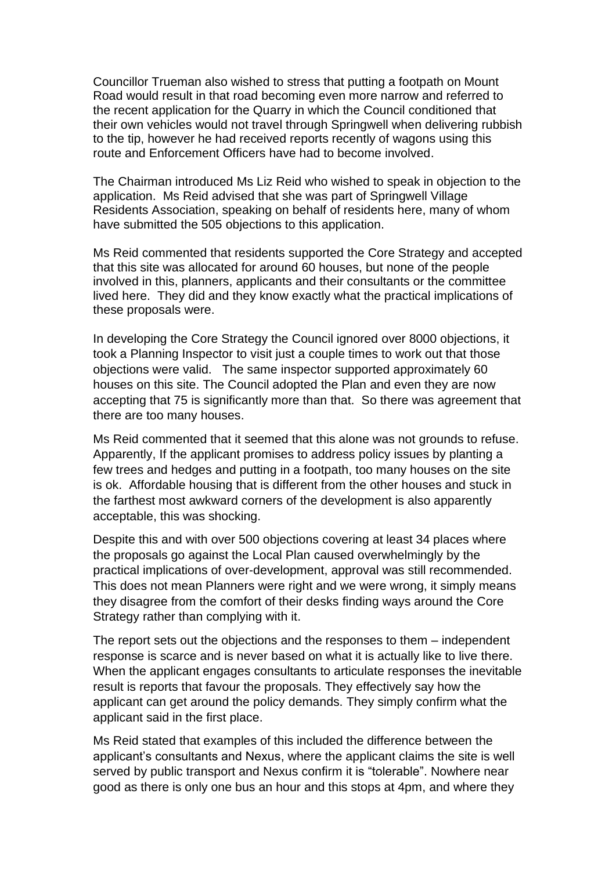Councillor Trueman also wished to stress that putting a footpath on Mount Road would result in that road becoming even more narrow and referred to the recent application for the Quarry in which the Council conditioned that their own vehicles would not travel through Springwell when delivering rubbish to the tip, however he had received reports recently of wagons using this route and Enforcement Officers have had to become involved.

The Chairman introduced Ms Liz Reid who wished to speak in objection to the application. Ms Reid advised that she was part of Springwell Village Residents Association, speaking on behalf of residents here, many of whom have submitted the 505 objections to this application.

Ms Reid commented that residents supported the Core Strategy and accepted that this site was allocated for around 60 houses, but none of the people involved in this, planners, applicants and their consultants or the committee lived here. They did and they know exactly what the practical implications of these proposals were.

In developing the Core Strategy the Council ignored over 8000 objections, it took a Planning Inspector to visit just a couple times to work out that those objections were valid. The same inspector supported approximately 60 houses on this site. The Council adopted the Plan and even they are now accepting that 75 is significantly more than that. So there was agreement that there are too many houses.

Ms Reid commented that it seemed that this alone was not grounds to refuse. Apparently, If the applicant promises to address policy issues by planting a few trees and hedges and putting in a footpath, too many houses on the site is ok. Affordable housing that is different from the other houses and stuck in the farthest most awkward corners of the development is also apparently acceptable, this was shocking.

Despite this and with over 500 objections covering at least 34 places where the proposals go against the Local Plan caused overwhelmingly by the practical implications of over-development, approval was still recommended. This does not mean Planners were right and we were wrong, it simply means they disagree from the comfort of their desks finding ways around the Core Strategy rather than complying with it.

The report sets out the objections and the responses to them – independent response is scarce and is never based on what it is actually like to live there. When the applicant engages consultants to articulate responses the inevitable result is reports that favour the proposals. They effectively say how the applicant can get around the policy demands. They simply confirm what the applicant said in the first place.

Ms Reid stated that examples of this included the difference between the applicant's consultants and Nexus, where the applicant claims the site is well served by public transport and Nexus confirm it is "tolerable". Nowhere near good as there is only one bus an hour and this stops at 4pm, and where they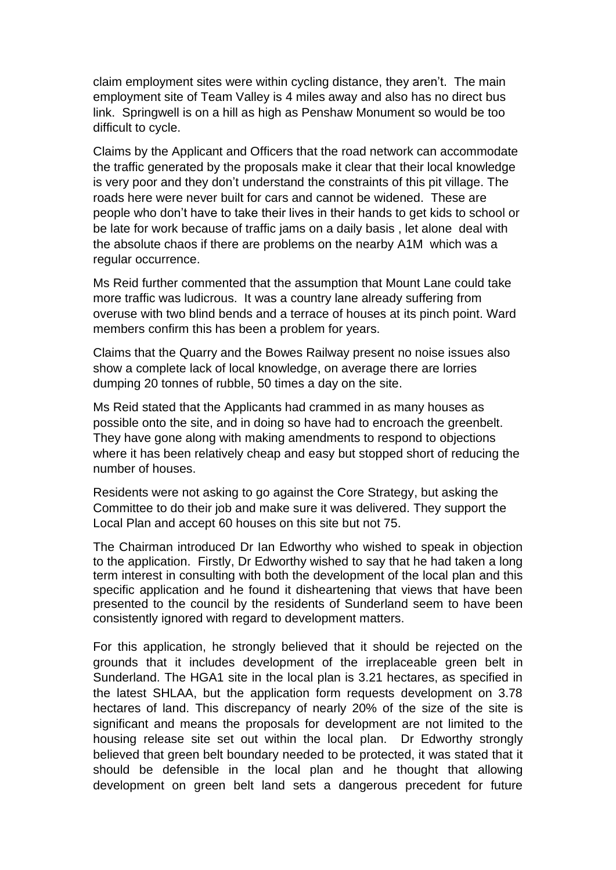claim employment sites were within cycling distance, they aren't. The main employment site of Team Valley is 4 miles away and also has no direct bus link. Springwell is on a hill as high as Penshaw Monument so would be too difficult to cycle.

Claims by the Applicant and Officers that the road network can accommodate the traffic generated by the proposals make it clear that their local knowledge is very poor and they don't understand the constraints of this pit village. The roads here were never built for cars and cannot be widened. These are people who don't have to take their lives in their hands to get kids to school or be late for work because of traffic jams on a daily basis , let alone deal with the absolute chaos if there are problems on the nearby A1M which was a regular occurrence.

Ms Reid further commented that the assumption that Mount Lane could take more traffic was ludicrous. It was a country lane already suffering from overuse with two blind bends and a terrace of houses at its pinch point. Ward members confirm this has been a problem for years.

Claims that the Quarry and the Bowes Railway present no noise issues also show a complete lack of local knowledge, on average there are lorries dumping 20 tonnes of rubble, 50 times a day on the site.

Ms Reid stated that the Applicants had crammed in as many houses as possible onto the site, and in doing so have had to encroach the greenbelt. They have gone along with making amendments to respond to objections where it has been relatively cheap and easy but stopped short of reducing the number of houses.

Residents were not asking to go against the Core Strategy, but asking the Committee to do their job and make sure it was delivered. They support the Local Plan and accept 60 houses on this site but not 75.

The Chairman introduced Dr Ian Edworthy who wished to speak in objection to the application. Firstly, Dr Edworthy wished to say that he had taken a long term interest in consulting with both the development of the local plan and this specific application and he found it disheartening that views that have been presented to the council by the residents of Sunderland seem to have been consistently ignored with regard to development matters.

For this application, he strongly believed that it should be rejected on the grounds that it includes development of the irreplaceable green belt in Sunderland. The HGA1 site in the local plan is 3.21 hectares, as specified in the latest SHLAA, but the application form requests development on 3.78 hectares of land. This discrepancy of nearly 20% of the size of the site is significant and means the proposals for development are not limited to the housing release site set out within the local plan. Dr Edworthy strongly believed that green belt boundary needed to be protected, it was stated that it should be defensible in the local plan and he thought that allowing development on green belt land sets a dangerous precedent for future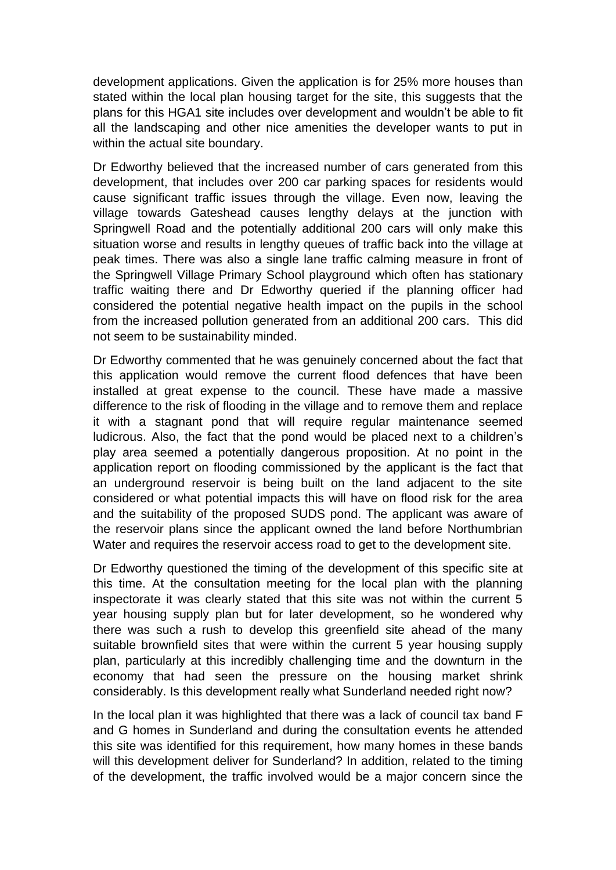development applications. Given the application is for 25% more houses than stated within the local plan housing target for the site, this suggests that the plans for this HGA1 site includes over development and wouldn't be able to fit all the landscaping and other nice amenities the developer wants to put in within the actual site boundary.

Dr Edworthy believed that the increased number of cars generated from this development, that includes over 200 car parking spaces for residents would cause significant traffic issues through the village. Even now, leaving the village towards Gateshead causes lengthy delays at the junction with Springwell Road and the potentially additional 200 cars will only make this situation worse and results in lengthy queues of traffic back into the village at peak times. There was also a single lane traffic calming measure in front of the Springwell Village Primary School playground which often has stationary traffic waiting there and Dr Edworthy queried if the planning officer had considered the potential negative health impact on the pupils in the school from the increased pollution generated from an additional 200 cars. This did not seem to be sustainability minded.

Dr Edworthy commented that he was genuinely concerned about the fact that this application would remove the current flood defences that have been installed at great expense to the council. These have made a massive difference to the risk of flooding in the village and to remove them and replace it with a stagnant pond that will require regular maintenance seemed ludicrous. Also, the fact that the pond would be placed next to a children's play area seemed a potentially dangerous proposition. At no point in the application report on flooding commissioned by the applicant is the fact that an underground reservoir is being built on the land adjacent to the site considered or what potential impacts this will have on flood risk for the area and the suitability of the proposed SUDS pond. The applicant was aware of the reservoir plans since the applicant owned the land before Northumbrian Water and requires the reservoir access road to get to the development site.

Dr Edworthy questioned the timing of the development of this specific site at this time. At the consultation meeting for the local plan with the planning inspectorate it was clearly stated that this site was not within the current 5 year housing supply plan but for later development, so he wondered why there was such a rush to develop this greenfield site ahead of the many suitable brownfield sites that were within the current 5 year housing supply plan, particularly at this incredibly challenging time and the downturn in the economy that had seen the pressure on the housing market shrink considerably. Is this development really what Sunderland needed right now?

In the local plan it was highlighted that there was a lack of council tax band F and G homes in Sunderland and during the consultation events he attended this site was identified for this requirement, how many homes in these bands will this development deliver for Sunderland? In addition, related to the timing of the development, the traffic involved would be a major concern since the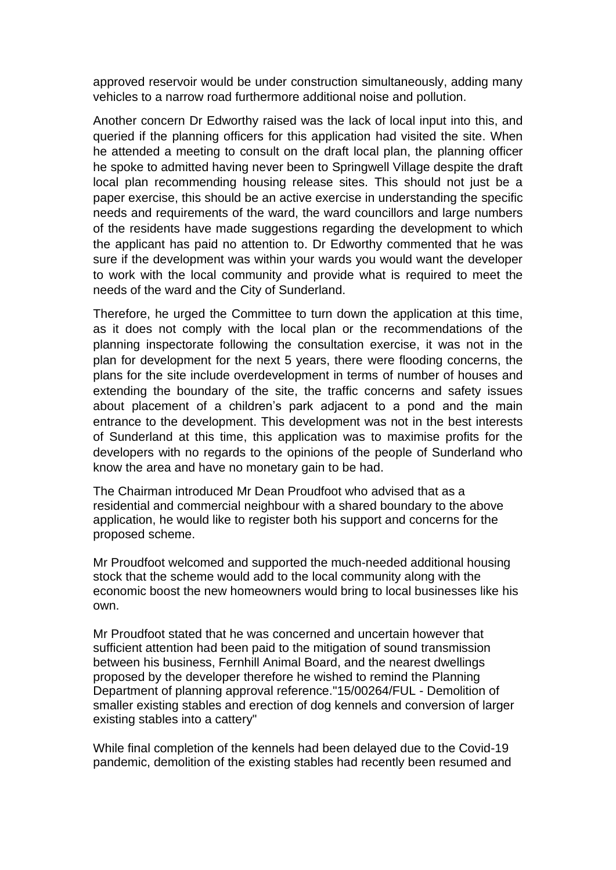approved reservoir would be under construction simultaneously, adding many vehicles to a narrow road furthermore additional noise and pollution.

Another concern Dr Edworthy raised was the lack of local input into this, and queried if the planning officers for this application had visited the site. When he attended a meeting to consult on the draft local plan, the planning officer he spoke to admitted having never been to Springwell Village despite the draft local plan recommending housing release sites. This should not just be a paper exercise, this should be an active exercise in understanding the specific needs and requirements of the ward, the ward councillors and large numbers of the residents have made suggestions regarding the development to which the applicant has paid no attention to. Dr Edworthy commented that he was sure if the development was within your wards you would want the developer to work with the local community and provide what is required to meet the needs of the ward and the City of Sunderland.

Therefore, he urged the Committee to turn down the application at this time, as it does not comply with the local plan or the recommendations of the planning inspectorate following the consultation exercise, it was not in the plan for development for the next 5 years, there were flooding concerns, the plans for the site include overdevelopment in terms of number of houses and extending the boundary of the site, the traffic concerns and safety issues about placement of a children's park adjacent to a pond and the main entrance to the development. This development was not in the best interests of Sunderland at this time, this application was to maximise profits for the developers with no regards to the opinions of the people of Sunderland who know the area and have no monetary gain to be had.

The Chairman introduced Mr Dean Proudfoot who advised that as a residential and commercial neighbour with a shared boundary to the above application, he would like to register both his support and concerns for the proposed scheme.

Mr Proudfoot welcomed and supported the much-needed additional housing stock that the scheme would add to the local community along with the economic boost the new homeowners would bring to local businesses like his own.

Mr Proudfoot stated that he was concerned and uncertain however that sufficient attention had been paid to the mitigation of sound transmission between his business, Fernhill Animal Board, and the nearest dwellings proposed by the developer therefore he wished to remind the Planning Department of planning approval reference."15/00264/FUL - Demolition of smaller existing stables and erection of dog kennels and conversion of larger existing stables into a cattery"

While final completion of the kennels had been delayed due to the Covid-19 pandemic, demolition of the existing stables had recently been resumed and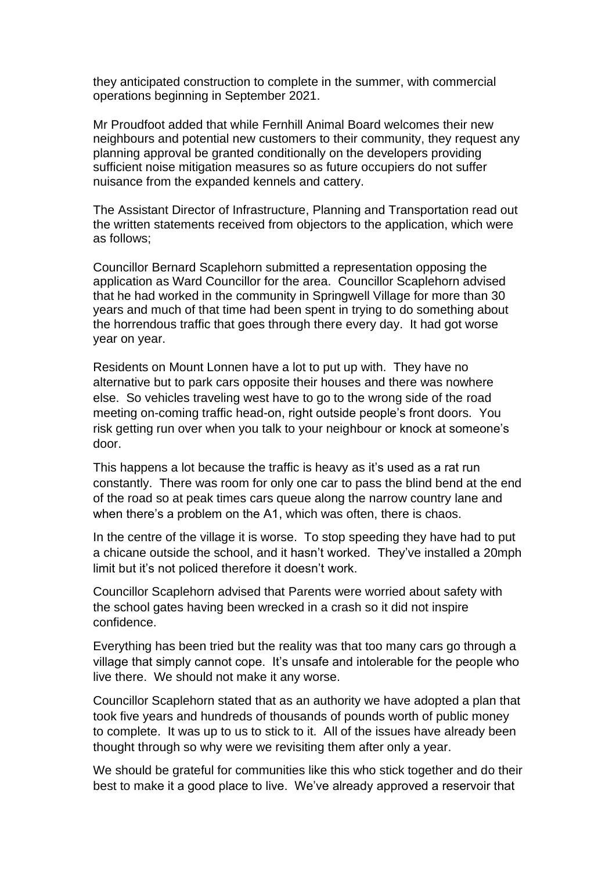they anticipated construction to complete in the summer, with commercial operations beginning in September 2021.

Mr Proudfoot added that while Fernhill Animal Board welcomes their new neighbours and potential new customers to their community, they request any planning approval be granted conditionally on the developers providing sufficient noise mitigation measures so as future occupiers do not suffer nuisance from the expanded kennels and cattery.

The Assistant Director of Infrastructure, Planning and Transportation read out the written statements received from objectors to the application, which were as follows;

Councillor Bernard Scaplehorn submitted a representation opposing the application as Ward Councillor for the area. Councillor Scaplehorn advised that he had worked in the community in Springwell Village for more than 30 years and much of that time had been spent in trying to do something about the horrendous traffic that goes through there every day. It had got worse year on year.

Residents on Mount Lonnen have a lot to put up with. They have no alternative but to park cars opposite their houses and there was nowhere else. So vehicles traveling west have to go to the wrong side of the road meeting on-coming traffic head-on, right outside people's front doors. You risk getting run over when you talk to your neighbour or knock at someone's door.

This happens a lot because the traffic is heavy as it's used as a rat run constantly. There was room for only one car to pass the blind bend at the end of the road so at peak times cars queue along the narrow country lane and when there's a problem on the A1, which was often, there is chaos.

In the centre of the village it is worse. To stop speeding they have had to put a chicane outside the school, and it hasn't worked. They've installed a 20mph limit but it's not policed therefore it doesn't work.

Councillor Scaplehorn advised that Parents were worried about safety with the school gates having been wrecked in a crash so it did not inspire confidence.

Everything has been tried but the reality was that too many cars go through a village that simply cannot cope. It's unsafe and intolerable for the people who live there. We should not make it any worse.

Councillor Scaplehorn stated that as an authority we have adopted a plan that took five years and hundreds of thousands of pounds worth of public money to complete. It was up to us to stick to it. All of the issues have already been thought through so why were we revisiting them after only a year.

We should be grateful for communities like this who stick together and do their best to make it a good place to live. We've already approved a reservoir that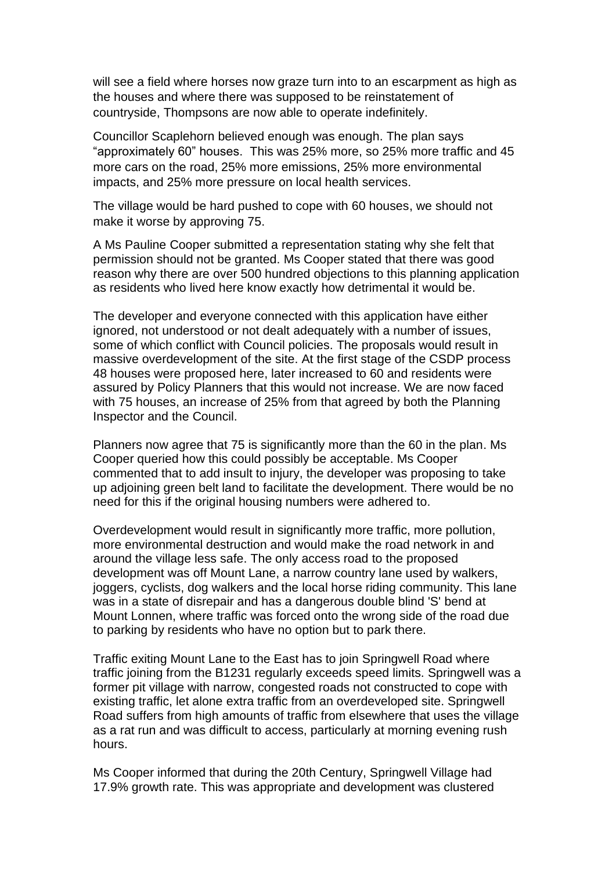will see a field where horses now graze turn into to an escarpment as high as the houses and where there was supposed to be reinstatement of countryside, Thompsons are now able to operate indefinitely.

Councillor Scaplehorn believed enough was enough. The plan says "approximately 60" houses. This was 25% more, so 25% more traffic and 45 more cars on the road, 25% more emissions, 25% more environmental impacts, and 25% more pressure on local health services.

The village would be hard pushed to cope with 60 houses, we should not make it worse by approving 75.

A Ms Pauline Cooper submitted a representation stating why she felt that permission should not be granted. Ms Cooper stated that there was good reason why there are over 500 hundred objections to this planning application as residents who lived here know exactly how detrimental it would be.

The developer and everyone connected with this application have either ignored, not understood or not dealt adequately with a number of issues, some of which conflict with Council policies. The proposals would result in massive overdevelopment of the site. At the first stage of the CSDP process 48 houses were proposed here, later increased to 60 and residents were assured by Policy Planners that this would not increase. We are now faced with 75 houses, an increase of 25% from that agreed by both the Planning Inspector and the Council.

Planners now agree that 75 is significantly more than the 60 in the plan. Ms Cooper queried how this could possibly be acceptable. Ms Cooper commented that to add insult to injury, the developer was proposing to take up adjoining green belt land to facilitate the development. There would be no need for this if the original housing numbers were adhered to.

Overdevelopment would result in significantly more traffic, more pollution, more environmental destruction and would make the road network in and around the village less safe. The only access road to the proposed development was off Mount Lane, a narrow country lane used by walkers, joggers, cyclists, dog walkers and the local horse riding community. This lane was in a state of disrepair and has a dangerous double blind 'S' bend at Mount Lonnen, where traffic was forced onto the wrong side of the road due to parking by residents who have no option but to park there.

Traffic exiting Mount Lane to the East has to join Springwell Road where traffic joining from the B1231 regularly exceeds speed limits. Springwell was a former pit village with narrow, congested roads not constructed to cope with existing traffic, let alone extra traffic from an overdeveloped site. Springwell Road suffers from high amounts of traffic from elsewhere that uses the village as a rat run and was difficult to access, particularly at morning evening rush hours.

Ms Cooper informed that during the 20th Century, Springwell Village had 17.9% growth rate. This was appropriate and development was clustered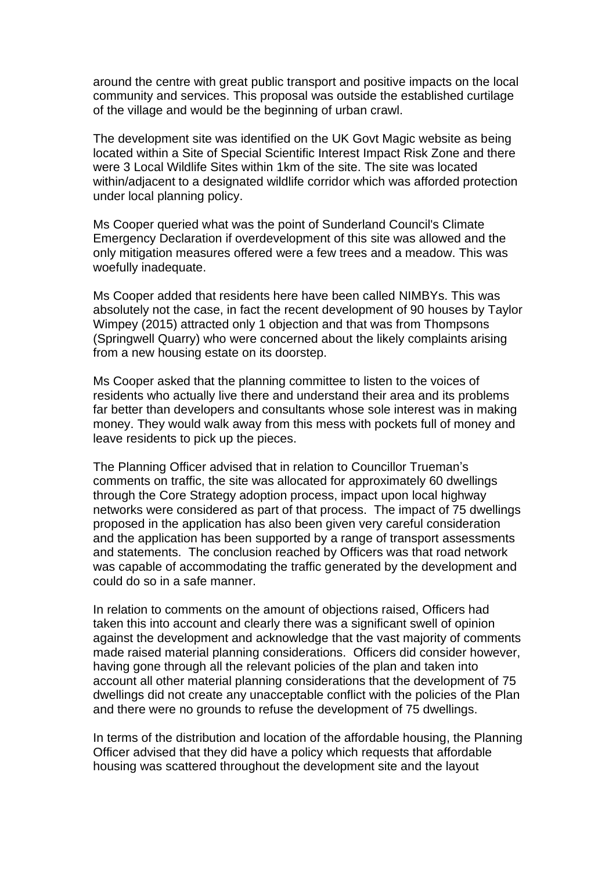around the centre with great public transport and positive impacts on the local community and services. This proposal was outside the established curtilage of the village and would be the beginning of urban crawl.

The development site was identified on the UK Govt Magic website as being located within a Site of Special Scientific Interest Impact Risk Zone and there were 3 Local Wildlife Sites within 1km of the site. The site was located within/adjacent to a designated wildlife corridor which was afforded protection under local planning policy.

Ms Cooper queried what was the point of Sunderland Council's Climate Emergency Declaration if overdevelopment of this site was allowed and the only mitigation measures offered were a few trees and a meadow. This was woefully inadequate.

Ms Cooper added that residents here have been called NIMBYs. This was absolutely not the case, in fact the recent development of 90 houses by Taylor Wimpey (2015) attracted only 1 objection and that was from Thompsons (Springwell Quarry) who were concerned about the likely complaints arising from a new housing estate on its doorstep.

Ms Cooper asked that the planning committee to listen to the voices of residents who actually live there and understand their area and its problems far better than developers and consultants whose sole interest was in making money. They would walk away from this mess with pockets full of money and leave residents to pick up the pieces.

The Planning Officer advised that in relation to Councillor Trueman's comments on traffic, the site was allocated for approximately 60 dwellings through the Core Strategy adoption process, impact upon local highway networks were considered as part of that process. The impact of 75 dwellings proposed in the application has also been given very careful consideration and the application has been supported by a range of transport assessments and statements. The conclusion reached by Officers was that road network was capable of accommodating the traffic generated by the development and could do so in a safe manner.

In relation to comments on the amount of objections raised, Officers had taken this into account and clearly there was a significant swell of opinion against the development and acknowledge that the vast majority of comments made raised material planning considerations. Officers did consider however, having gone through all the relevant policies of the plan and taken into account all other material planning considerations that the development of 75 dwellings did not create any unacceptable conflict with the policies of the Plan and there were no grounds to refuse the development of 75 dwellings.

In terms of the distribution and location of the affordable housing, the Planning Officer advised that they did have a policy which requests that affordable housing was scattered throughout the development site and the layout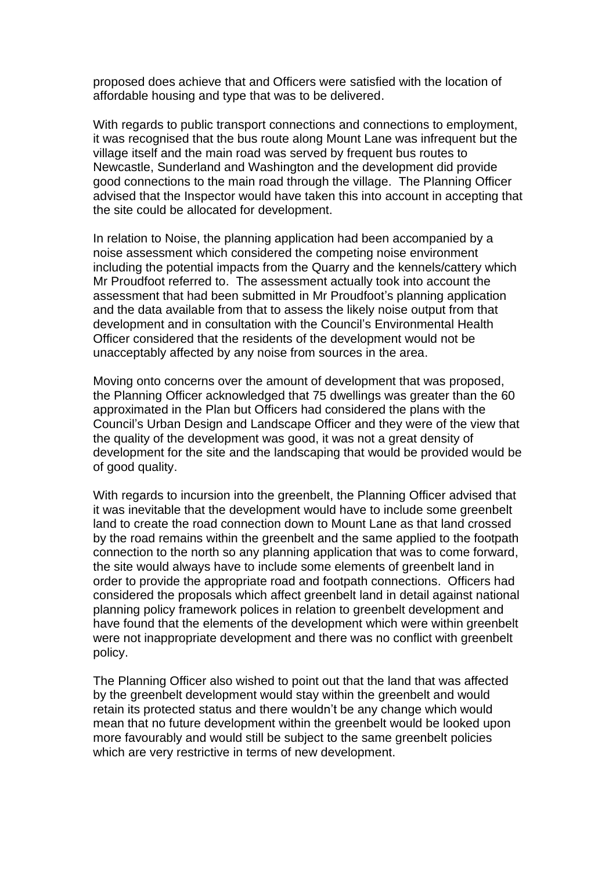proposed does achieve that and Officers were satisfied with the location of affordable housing and type that was to be delivered.

With regards to public transport connections and connections to employment, it was recognised that the bus route along Mount Lane was infrequent but the village itself and the main road was served by frequent bus routes to Newcastle, Sunderland and Washington and the development did provide good connections to the main road through the village. The Planning Officer advised that the Inspector would have taken this into account in accepting that the site could be allocated for development.

In relation to Noise, the planning application had been accompanied by a noise assessment which considered the competing noise environment including the potential impacts from the Quarry and the kennels/cattery which Mr Proudfoot referred to. The assessment actually took into account the assessment that had been submitted in Mr Proudfoot's planning application and the data available from that to assess the likely noise output from that development and in consultation with the Council's Environmental Health Officer considered that the residents of the development would not be unacceptably affected by any noise from sources in the area.

Moving onto concerns over the amount of development that was proposed, the Planning Officer acknowledged that 75 dwellings was greater than the 60 approximated in the Plan but Officers had considered the plans with the Council's Urban Design and Landscape Officer and they were of the view that the quality of the development was good, it was not a great density of development for the site and the landscaping that would be provided would be of good quality.

With regards to incursion into the greenbelt, the Planning Officer advised that it was inevitable that the development would have to include some greenbelt land to create the road connection down to Mount Lane as that land crossed by the road remains within the greenbelt and the same applied to the footpath connection to the north so any planning application that was to come forward, the site would always have to include some elements of greenbelt land in order to provide the appropriate road and footpath connections. Officers had considered the proposals which affect greenbelt land in detail against national planning policy framework polices in relation to greenbelt development and have found that the elements of the development which were within greenbelt were not inappropriate development and there was no conflict with greenbelt policy.

The Planning Officer also wished to point out that the land that was affected by the greenbelt development would stay within the greenbelt and would retain its protected status and there wouldn't be any change which would mean that no future development within the greenbelt would be looked upon more favourably and would still be subject to the same greenbelt policies which are very restrictive in terms of new development.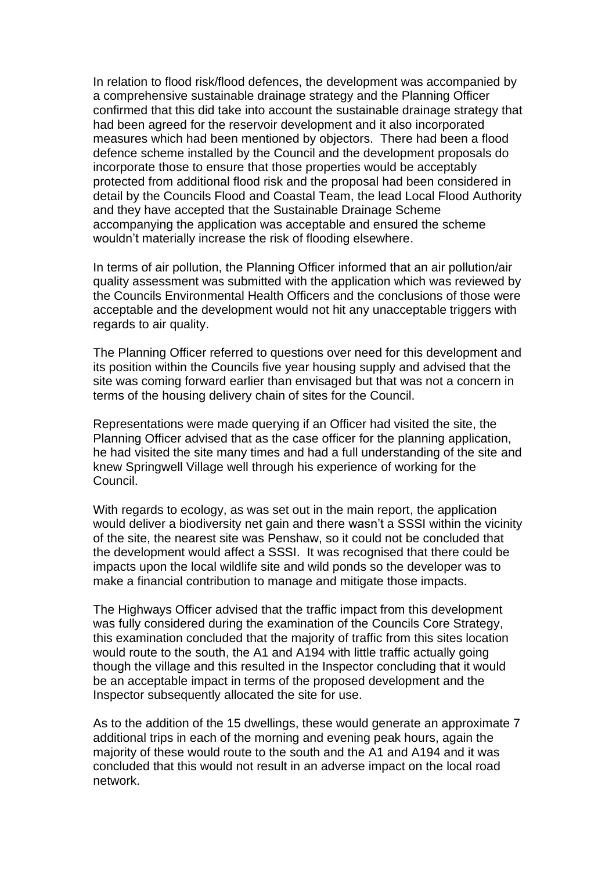In relation to flood risk/flood defences, the development was accompanied by a comprehensive sustainable drainage strategy and the Planning Officer confirmed that this did take into account the sustainable drainage strategy that had been agreed for the reservoir development and it also incorporated measures which had been mentioned by objectors. There had been a flood defence scheme installed by the Council and the development proposals do incorporate those to ensure that those properties would be acceptably protected from additional flood risk and the proposal had been considered in detail by the Councils Flood and Coastal Team, the lead Local Flood Authority and they have accepted that the Sustainable Drainage Scheme accompanying the application was acceptable and ensured the scheme wouldn't materially increase the risk of flooding elsewhere.

In terms of air pollution, the Planning Officer informed that an air pollution/air quality assessment was submitted with the application which was reviewed by the Councils Environmental Health Officers and the conclusions of those were acceptable and the development would not hit any unacceptable triggers with regards to air quality.

The Planning Officer referred to questions over need for this development and its position within the Councils five year housing supply and advised that the site was coming forward earlier than envisaged but that was not a concern in terms of the housing delivery chain of sites for the Council.

Representations were made querying if an Officer had visited the site, the Planning Officer advised that as the case officer for the planning application, he had visited the site many times and had a full understanding of the site and knew Springwell Village well through his experience of working for the Council.

With regards to ecology, as was set out in the main report, the application would deliver a biodiversity net gain and there wasn't a SSSI within the vicinity of the site, the nearest site was Penshaw, so it could not be concluded that the development would affect a SSSI. It was recognised that there could be impacts upon the local wildlife site and wild ponds so the developer was to make a financial contribution to manage and mitigate those impacts.

The Highways Officer advised that the traffic impact from this development was fully considered during the examination of the Councils Core Strategy, this examination concluded that the majority of traffic from this sites location would route to the south, the A1 and A194 with little traffic actually going though the village and this resulted in the Inspector concluding that it would be an acceptable impact in terms of the proposed development and the Inspector subsequently allocated the site for use.

As to the addition of the 15 dwellings, these would generate an approximate 7 additional trips in each of the morning and evening peak hours, again the majority of these would route to the south and the A1 and A194 and it was concluded that this would not result in an adverse impact on the local road network.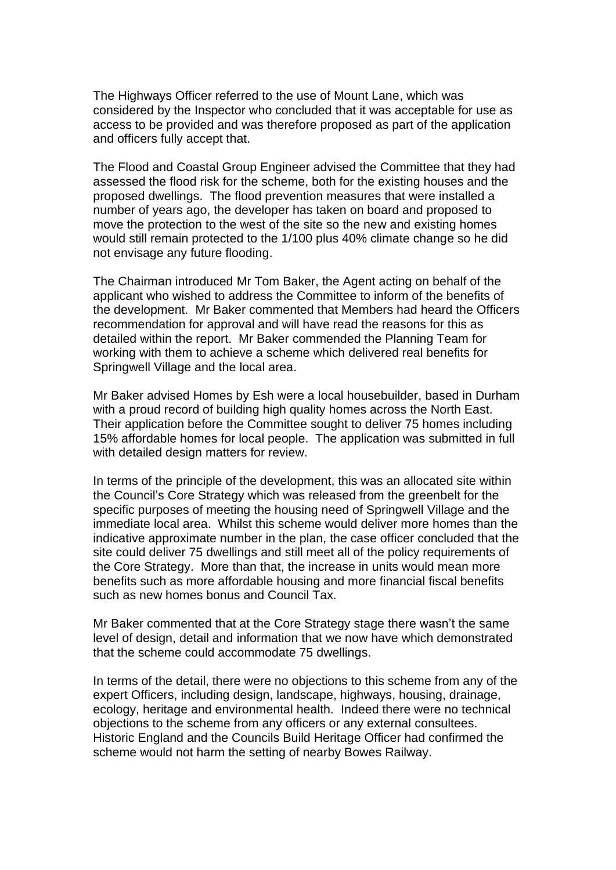The Highways Officer referred to the use of Mount Lane, which was considered by the Inspector who concluded that it was acceptable for use as access to be provided and was therefore proposed as part of the application and officers fully accept that.

The Flood and Coastal Group Engineer advised the Committee that they had assessed the flood risk for the scheme, both for the existing houses and the proposed dwellings. The flood prevention measures that were installed a number of years ago, the developer has taken on board and proposed to move the protection to the west of the site so the new and existing homes would still remain protected to the 1/100 plus 40% climate change so he did not envisage any future flooding.

The Chairman introduced Mr Tom Baker, the Agent acting on behalf of the applicant who wished to address the Committee to inform of the benefits of the development. Mr Baker commented that Members had heard the Officers recommendation for approval and will have read the reasons for this as detailed within the report. Mr Baker commended the Planning Team for working with them to achieve a scheme which delivered real benefits for Springwell Village and the local area.

Mr Baker advised Homes by Esh were a local housebuilder, based in Durham with a proud record of building high quality homes across the North East. Their application before the Committee sought to deliver 75 homes including 15% affordable homes for local people. The application was submitted in full with detailed design matters for review.

In terms of the principle of the development, this was an allocated site within the Council's Core Strategy which was released from the greenbelt for the specific purposes of meeting the housing need of Springwell Village and the immediate local area. Whilst this scheme would deliver more homes than the indicative approximate number in the plan, the case officer concluded that the site could deliver 75 dwellings and still meet all of the policy requirements of the Core Strategy. More than that, the increase in units would mean more benefits such as more affordable housing and more financial fiscal benefits such as new homes bonus and Council Tax.

Mr Baker commented that at the Core Strategy stage there wasn't the same level of design, detail and information that we now have which demonstrated that the scheme could accommodate 75 dwellings.

In terms of the detail, there were no objections to this scheme from any of the expert Officers, including design, landscape, highways, housing, drainage, ecology, heritage and environmental health. Indeed there were no technical objections to the scheme from any officers or any external consultees. Historic England and the Councils Build Heritage Officer had confirmed the scheme would not harm the setting of nearby Bowes Railway.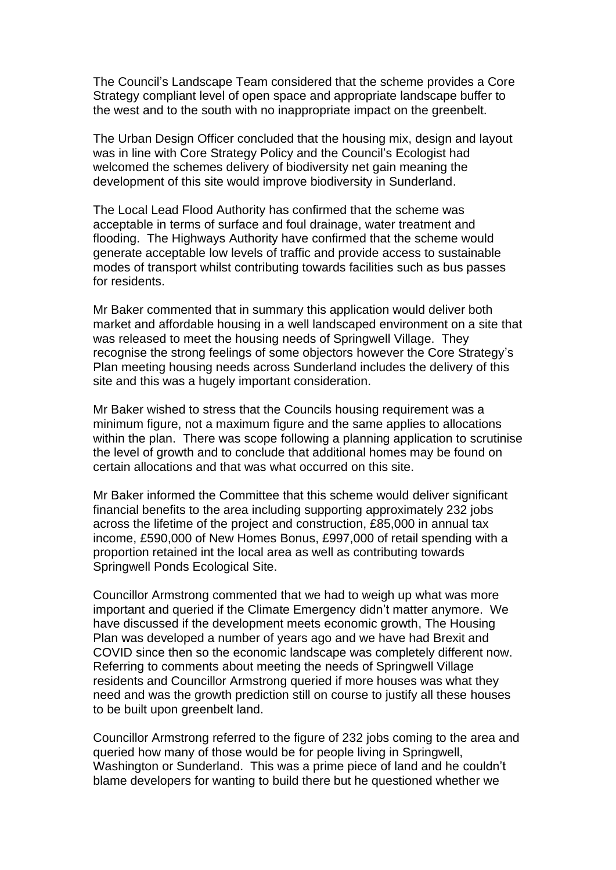The Council's Landscape Team considered that the scheme provides a Core Strategy compliant level of open space and appropriate landscape buffer to the west and to the south with no inappropriate impact on the greenbelt.

The Urban Design Officer concluded that the housing mix, design and layout was in line with Core Strategy Policy and the Council's Ecologist had welcomed the schemes delivery of biodiversity net gain meaning the development of this site would improve biodiversity in Sunderland.

The Local Lead Flood Authority has confirmed that the scheme was acceptable in terms of surface and foul drainage, water treatment and flooding. The Highways Authority have confirmed that the scheme would generate acceptable low levels of traffic and provide access to sustainable modes of transport whilst contributing towards facilities such as bus passes for residents.

Mr Baker commented that in summary this application would deliver both market and affordable housing in a well landscaped environment on a site that was released to meet the housing needs of Springwell Village. They recognise the strong feelings of some objectors however the Core Strategy's Plan meeting housing needs across Sunderland includes the delivery of this site and this was a hugely important consideration.

Mr Baker wished to stress that the Councils housing requirement was a minimum figure, not a maximum figure and the same applies to allocations within the plan. There was scope following a planning application to scrutinise the level of growth and to conclude that additional homes may be found on certain allocations and that was what occurred on this site.

Mr Baker informed the Committee that this scheme would deliver significant financial benefits to the area including supporting approximately 232 jobs across the lifetime of the project and construction, £85,000 in annual tax income, £590,000 of New Homes Bonus, £997,000 of retail spending with a proportion retained int the local area as well as contributing towards Springwell Ponds Ecological Site.

Councillor Armstrong commented that we had to weigh up what was more important and queried if the Climate Emergency didn't matter anymore. We have discussed if the development meets economic growth, The Housing Plan was developed a number of years ago and we have had Brexit and COVID since then so the economic landscape was completely different now. Referring to comments about meeting the needs of Springwell Village residents and Councillor Armstrong queried if more houses was what they need and was the growth prediction still on course to justify all these houses to be built upon greenbelt land.

Councillor Armstrong referred to the figure of 232 jobs coming to the area and queried how many of those would be for people living in Springwell, Washington or Sunderland. This was a prime piece of land and he couldn't blame developers for wanting to build there but he questioned whether we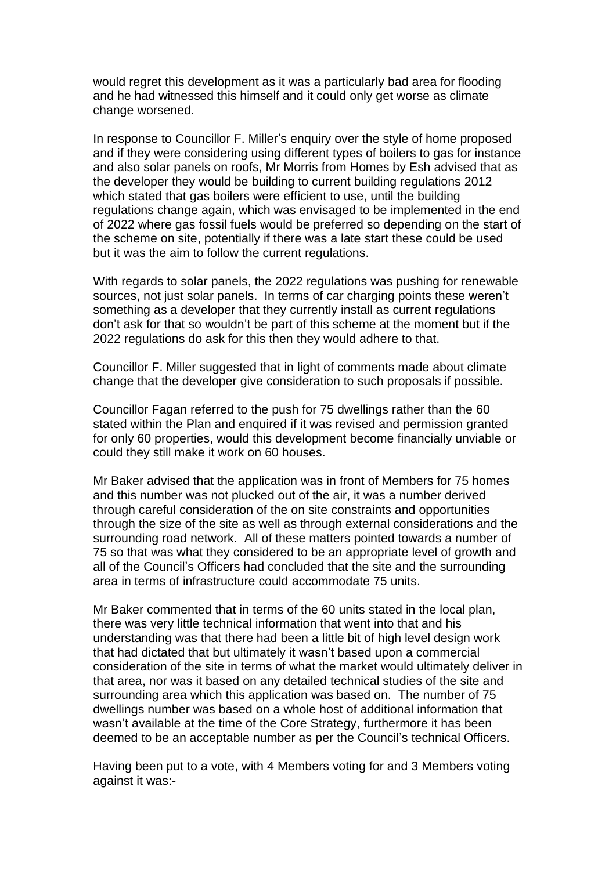would regret this development as it was a particularly bad area for flooding and he had witnessed this himself and it could only get worse as climate change worsened.

In response to Councillor F. Miller's enquiry over the style of home proposed and if they were considering using different types of boilers to gas for instance and also solar panels on roofs, Mr Morris from Homes by Esh advised that as the developer they would be building to current building regulations 2012 which stated that gas boilers were efficient to use, until the building regulations change again, which was envisaged to be implemented in the end of 2022 where gas fossil fuels would be preferred so depending on the start of the scheme on site, potentially if there was a late start these could be used but it was the aim to follow the current regulations.

With regards to solar panels, the 2022 regulations was pushing for renewable sources, not just solar panels. In terms of car charging points these weren't something as a developer that they currently install as current regulations don't ask for that so wouldn't be part of this scheme at the moment but if the 2022 regulations do ask for this then they would adhere to that.

Councillor F. Miller suggested that in light of comments made about climate change that the developer give consideration to such proposals if possible.

Councillor Fagan referred to the push for 75 dwellings rather than the 60 stated within the Plan and enquired if it was revised and permission granted for only 60 properties, would this development become financially unviable or could they still make it work on 60 houses.

Mr Baker advised that the application was in front of Members for 75 homes and this number was not plucked out of the air, it was a number derived through careful consideration of the on site constraints and opportunities through the size of the site as well as through external considerations and the surrounding road network. All of these matters pointed towards a number of 75 so that was what they considered to be an appropriate level of growth and all of the Council's Officers had concluded that the site and the surrounding area in terms of infrastructure could accommodate 75 units.

Mr Baker commented that in terms of the 60 units stated in the local plan, there was very little technical information that went into that and his understanding was that there had been a little bit of high level design work that had dictated that but ultimately it wasn't based upon a commercial consideration of the site in terms of what the market would ultimately deliver in that area, nor was it based on any detailed technical studies of the site and surrounding area which this application was based on. The number of 75 dwellings number was based on a whole host of additional information that wasn't available at the time of the Core Strategy, furthermore it has been deemed to be an acceptable number as per the Council's technical Officers.

Having been put to a vote, with 4 Members voting for and 3 Members voting against it was:-